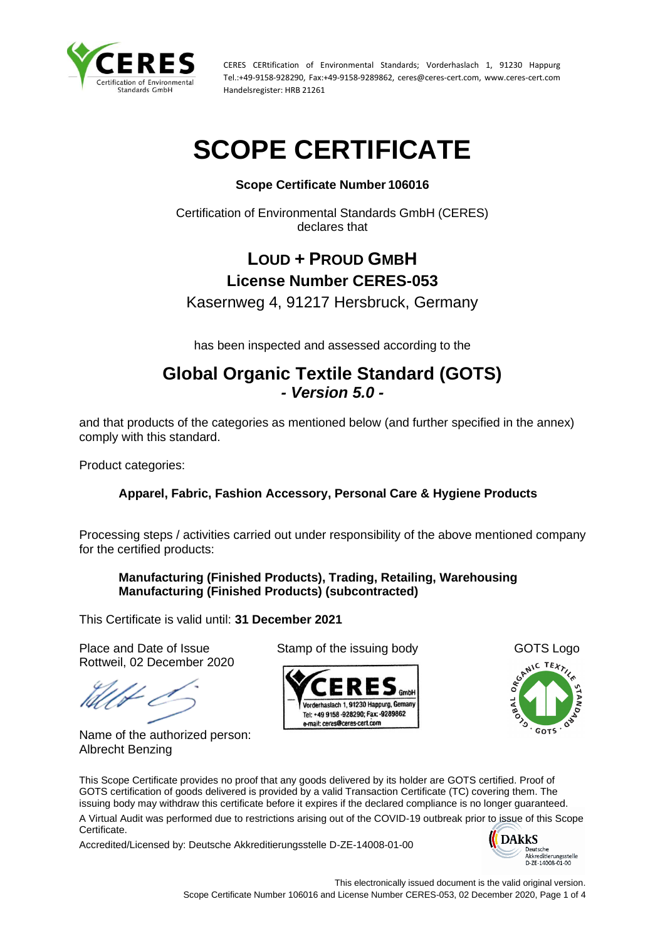

# **SCOPE CERTIFICATE**

## **Scope Certificate Number 106016**

Certification of Environmental Standards GmbH (CERES) declares that

# **LOUD + PROUD GMBH License Number CERES-053**

Kasernweg 4, 91217 Hersbruck, Germany

has been inspected and assessed according to the

# **Global Organic Textile Standard (GOTS)** *- Version 5.0 -*

and that products of the categories as mentioned below (and further specified in the annex) comply with this standard.

Product categories:

# **Apparel, Fabric, Fashion Accessory, Personal Care & Hygiene Products**

Processing steps / activities carried out under responsibility of the above mentioned company for the certified products:

## **Manufacturing (Finished Products), Trading, Retailing, Warehousing Manufacturing (Finished Products) (subcontracted)**

This Certificate is valid until: **31 December 2021**

Place and Date of Issue Stamp of the issuing body GOTS Logo Rottweil, 02 December 2020

Name of the authorized person: Albrecht Benzing





This Scope Certificate provides no proof that any goods delivered by its holder are GOTS certified. Proof of GOTS certification of goods delivered is provided by a valid Transaction Certificate (TC) covering them. The issuing body may withdraw this certificate before it expires if the declared compliance is no longer guaranteed. A Virtual Audit was performed due to restrictions arising out of the COVID-19 outbreak prior to issue of this Scope

Certificate.

Accredited/Licensed by: Deutsche Akkreditierungsstelle D-ZE-14008-01-00

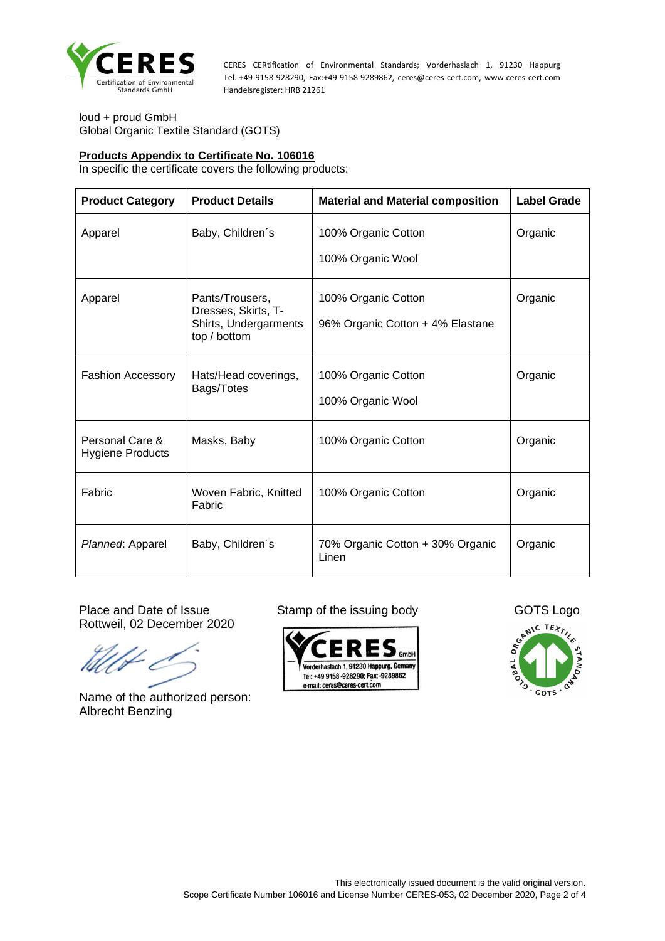

loud + proud GmbH Global Organic Textile Standard (GOTS)

#### **Products Appendix to Certificate No. 106016**

In specific the certificate covers the following products:

| <b>Product Category</b>                                   | <b>Product Details</b>                                                          | <b>Material and Material composition</b>                | <b>Label Grade</b> |
|-----------------------------------------------------------|---------------------------------------------------------------------------------|---------------------------------------------------------|--------------------|
| Apparel                                                   | Baby, Children's                                                                | 100% Organic Cotton<br>100% Organic Wool                | Organic            |
| Apparel                                                   | Pants/Trousers,<br>Dresses, Skirts, T-<br>Shirts, Undergarments<br>top / bottom | 100% Organic Cotton<br>96% Organic Cotton + 4% Elastane |                    |
| <b>Fashion Accessory</b>                                  | Hats/Head coverings,<br>Bags/Totes                                              | 100% Organic Cotton<br>100% Organic Wool                | Organic            |
| Personal Care &<br>Masks, Baby<br><b>Hygiene Products</b> |                                                                                 | 100% Organic Cotton                                     | Organic            |
| Fabric                                                    | Woven Fabric, Knitted<br>Fabric                                                 | 100% Organic Cotton                                     | Organic            |
| Planned: Apparel                                          | Baby, Children's                                                                | 70% Organic Cotton + 30% Organic<br>Linen               | Organic            |

Rottweil, 02 December 2020

Name of the authorized person: Albrecht Benzing



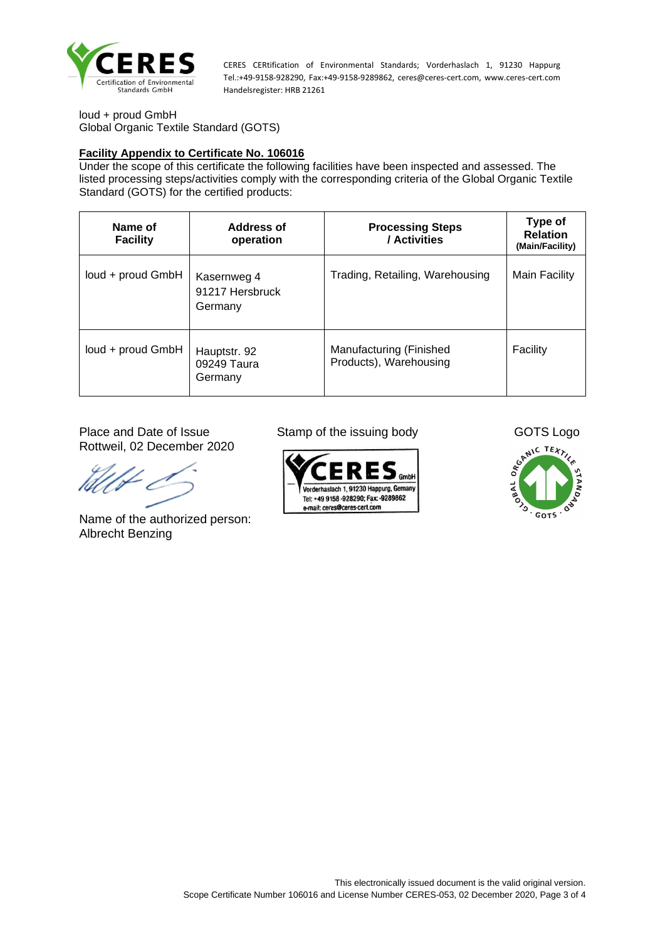

loud + proud GmbH Global Organic Textile Standard (GOTS)

### **Facility Appendix to Certificate No. 106016**

Under the scope of this certificate the following facilities have been inspected and assessed. The listed processing steps/activities comply with the corresponding criteria of the Global Organic Textile Standard (GOTS) for the certified products:

| Name of<br><b>Facility</b> | <b>Address of</b><br>operation            | <b>Processing Steps</b><br>/ Activities           | Type of<br><b>Relation</b><br>(Main/Facility) |
|----------------------------|-------------------------------------------|---------------------------------------------------|-----------------------------------------------|
| loud + proud GmbH          | Kasernweg 4<br>91217 Hersbruck<br>Germany | Trading, Retailing, Warehousing                   | Main Facility                                 |
| loud + proud GmbH          | Hauptstr. 92<br>09249 Taura<br>Germany    | Manufacturing (Finished<br>Products), Warehousing | Facility                                      |

Rottweil, 02 December 2020

Name of the authorized person: Albrecht Benzing